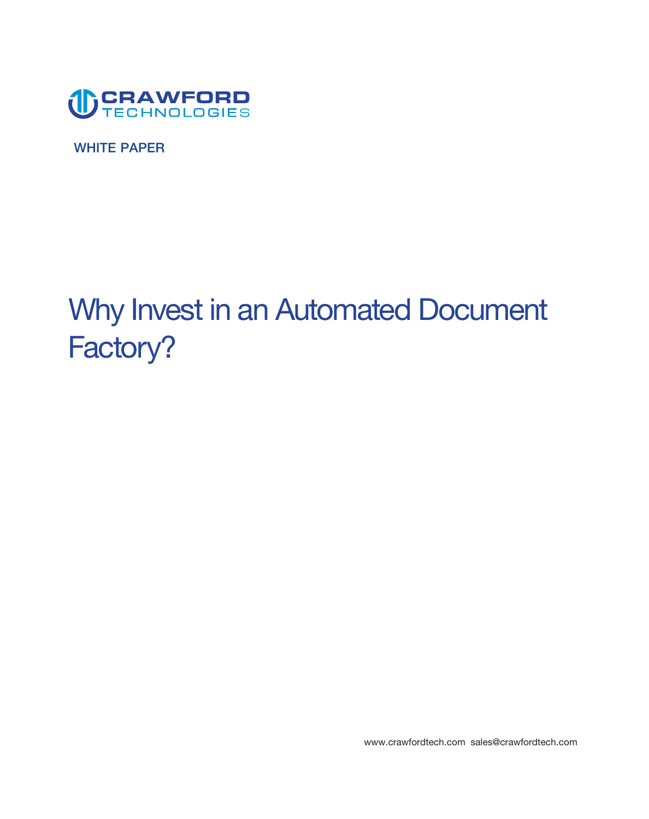

**WHITE PAPER** 

# **Why Invest in an Automated Document Factory?**

**www.crawfordtech.com sales@crawfordtech.com**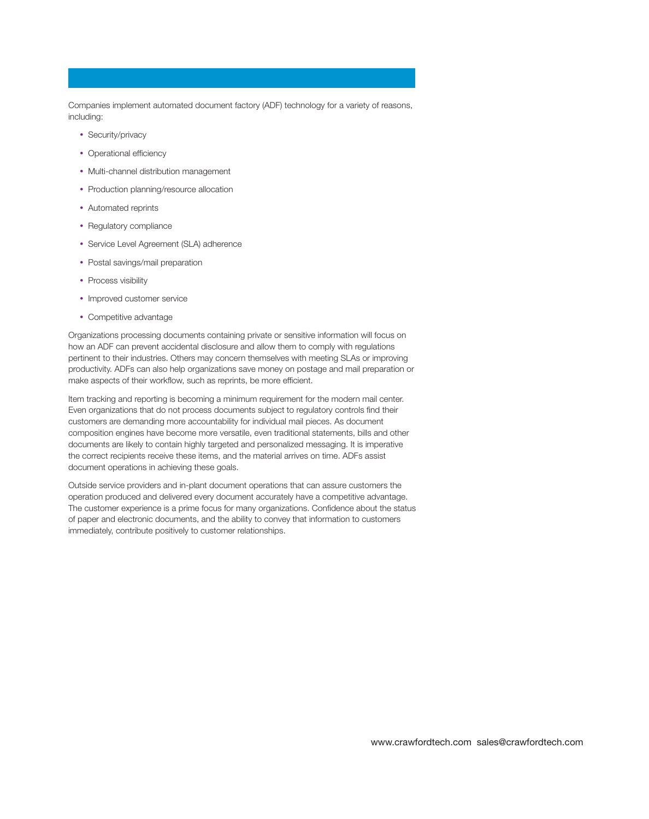**Companies implement automated document factory (ADF) technology for a variety of reasons, including:** 

- **• Security/privacy**
- Operational efficiency
- **• Multi-channel distribution management**
- **• Production planning/resource allocation**
- **• Automated reprints**
- **• Regulatory compliance**
- **• Service Level Agreement (SLA) adherence**
- **• Postal savings/mail preparation**
- **• Process visibility**
- **• Improved customer service**
- **• Competitive advantage**

**Organizations processing documents containing private or sensitive information will focus on how an ADF can prevent accidental disclosure and allow them to comply with regulations pertinent to their industries. Others may concern themselves with meeting SLAs or improving productivity. ADFs can also help organizations save money on postage and mail preparation or**  make aspects of their workflow, such as reprints, be more efficient.

**Item tracking and reporting is becoming a minimum requirement for the modern mail center. Even organizations that do not process documents subject to regulatory controls fnd their customers are demanding more accountability for individual mail pieces. As document composition engines have become more versatile, even traditional statements, bills and other documents are likely to contain highly targeted and personalized messaging. It is imperative the correct recipients receive these items, and the material arrives on time. ADFs assist document operations in achieving these goals.** 

**Outside service providers and in-plant document operations that can assure customers the operation produced and delivered every document accurately have a competitive advantage. The customer experience is a prime focus for many organizations. Confdence about the status of paper and electronic documents, and the ability to convey that information to customers immediately, contribute positively to customer relationships.**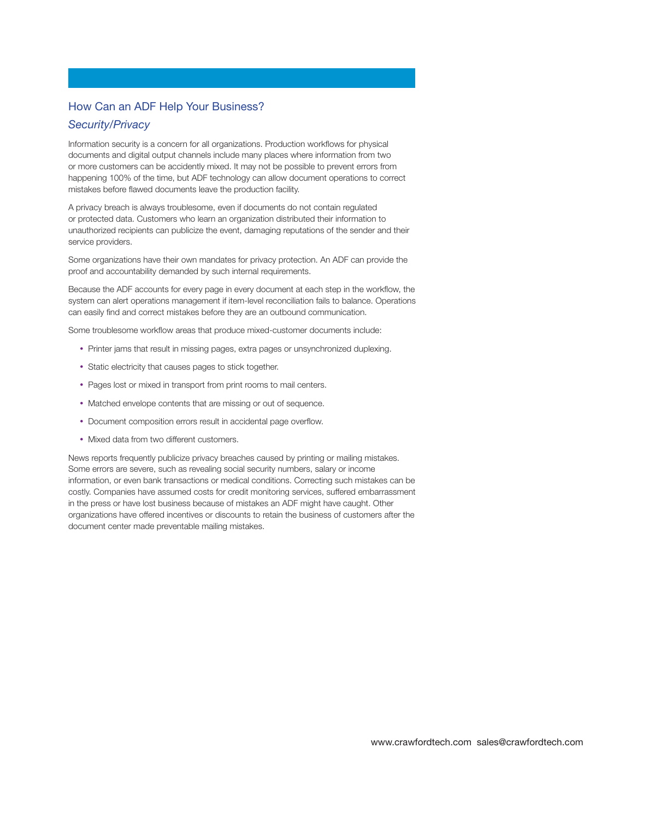# **How Can an ADF Help Your Business?**

# *Security/Privacy*

**Information security is a concern for all organizations. Production workfows for physical documents and digital output channels include many places where information from two or more customers can be accidently mixed. It may not be possible to prevent errors from happening 100% of the time, but ADF technology can allow document operations to correct mistakes before fawed documents leave the production facility.** 

**A privacy breach is always troublesome, even if documents do not contain regulated or protected data. Customers who learn an organization distributed their information to unauthorized recipients can publicize the event, damaging reputations of the sender and their service providers.** 

**Some organizations have their own mandates for privacy protection. An ADF can provide the proof and accountability demanded by such internal requirements.** 

**Because the ADF accounts for every page in every document at each step in the workfow, the system can alert operations management if item-level reconciliation fails to balance. Operations**  can easily find and correct mistakes before they are an outbound communication.

Some troublesome workflow areas that produce mixed-customer documents include:

- **• Printer jams that result in missing pages, extra pages or unsynchronized duplexing.**
- **• Static electricity that causes pages to stick together.**
- **• Pages lost or mixed in transport from print rooms to mail centers.**
- **• Matched envelope contents that are missing or out of sequence.**
- **• Document composition errors result in accidental page overfow.**
- **• Mixed data from two different customers.**

**News reports frequently publicize privacy breaches caused by printing or mailing mistakes. Some errors are severe, such as revealing social security numbers, salary or income information, or even bank transactions or medical conditions. Correcting such mistakes can be costly. Companies have assumed costs for credit monitoring services, suffered embarrassment in the press or have lost business because of mistakes an ADF might have caught. Other organizations have offered incentives or discounts to retain the business of customers after the document center made preventable mailing mistakes.**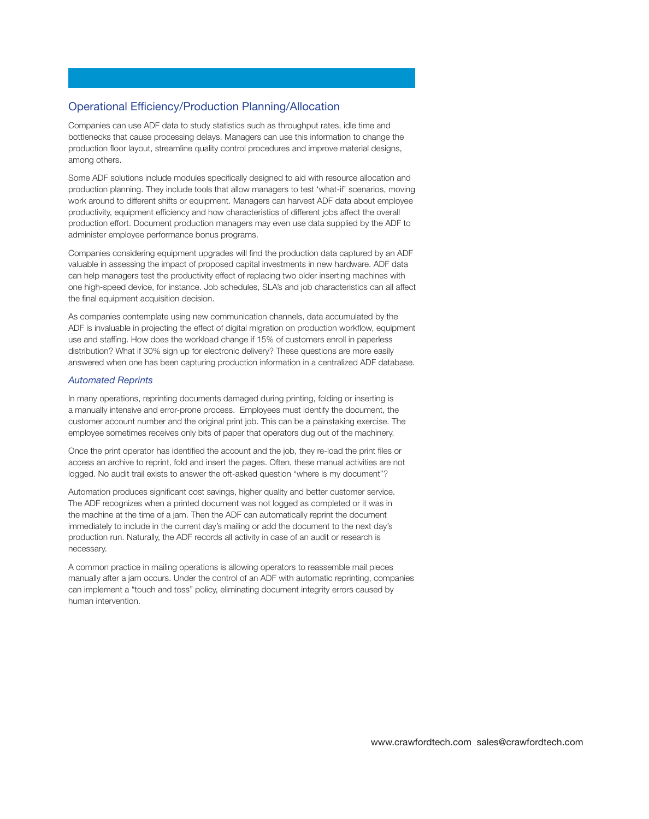# **Operational Efficiency/Production Planning/Allocation**

**Companies can use ADF data to study statistics such as throughput rates, idle time and bottlenecks that cause processing delays. Managers can use this information to change the production foor layout, streamline quality control procedures and improve material designs, among others.** 

**Some ADF solutions include modules specifcally designed to aid with resource allocation and production planning. They include tools that allow managers to test 'what-if' scenarios, moving work around to different shifts or equipment. Managers can harvest ADF data about employee productivity, equipment effciency and how characteristics of different jobs affect the overall production effort. Document production managers may even use data supplied by the ADF to administer employee performance bonus programs.** 

**Companies considering equipment upgrades will fnd the production data captured by an ADF valuable in assessing the impact of proposed capital investments in new hardware. ADF data can help managers test the productivity effect of replacing two older inserting machines with one high-speed device, for instance. Job schedules, SLA's and job characteristics can all affect the fnal equipment acquisition decision.** 

**As companies contemplate using new communication channels, data accumulated by the ADF is invaluable in projecting the effect of digital migration on production workfow, equipment use and staffng. How does the workload change if 15% of customers enroll in paperless distribution? What if 30% sign up for electronic delivery? These questions are more easily answered when one has been capturing production information in a centralized ADF database.** 

## *Automated Reprints*

**In many operations, reprinting documents damaged during printing, folding or inserting is a manually intensive and error-prone process. Employees must identify the document, the customer account number and the original print job. This can be a painstaking exercise. The employee sometimes receives only bits of paper that operators dug out of the machinery.** 

**Once the print operator has identifed the account and the job, they re-load the print fles or access an archive to reprint, fold and insert the pages. Often, these manual activities are not logged. No audit trail exists to answer the oft-asked question "where is my document"?** 

**Automation produces signifcant cost savings, higher quality and better customer service. The ADF recognizes when a printed document was not logged as completed or it was in the machine at the time of a jam. Then the ADF can automatically reprint the document immediately to include in the current day's mailing or add the document to the next day's production run. Naturally, the ADF records all activity in case of an audit or research is necessary.** 

**A common practice in mailing operations is allowing operators to reassemble mail pieces manually after a jam occurs. Under the control of an ADF with automatic reprinting, companies can implement a "touch and toss" policy, eliminating document integrity errors caused by human intervention.**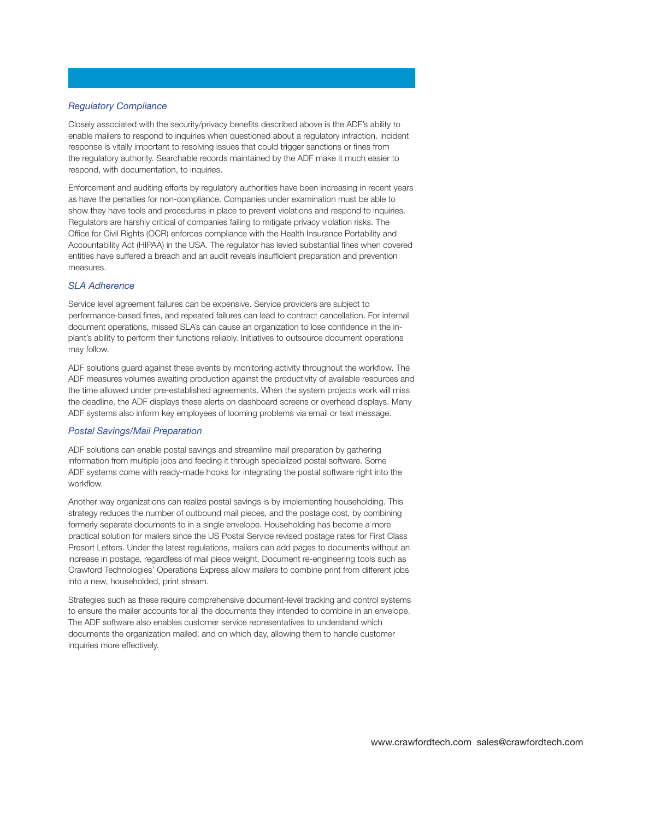#### *Regulatory Compliance*

**Closely associated with the security/privacy benefts described above is the ADF's ability to enable mailers to respond to inquiries when questioned about a regulatory infraction. Incident response is vitally important to resolving issues that could trigger sanctions or fnes from the regulatory authority. Searchable records maintained by the ADF make it much easier to respond, with documentation, to inquiries.** 

**Enforcement and auditing efforts by regulatory authorities have been increasing in recent years as have the penalties for non-compliance. Companies under examination must be able to show they have tools and procedures in place to prevent violations and respond to inquiries. Regulators are harshly critical of companies failing to mitigate privacy violation risks. The**  Office for Civil Rights (OCR) enforces compliance with the Health Insurance Portability and **Accountability Act (HIPAA) in the USA. The regulator has levied substantial fnes when covered entities have suffered a breach and an audit reveals insuffcient preparation and prevention measures.** 

# *SLA Adherence*

**Service level agreement failures can be expensive. Service providers are subject to performance-based fnes, and repeated failures can lead to contract cancellation. For internal document operations, missed SLA's can cause an organization to lose confdence in the inplant's ability to perform their functions reliably. Initiatives to outsource document operations may follow.** 

**ADF solutions guard against these events by monitoring activity throughout the workfow. The ADF measures volumes awaiting production against the productivity of available resources and the time allowed under pre-established agreements. When the system projects work will miss the deadline, the ADF displays these alerts on dashboard screens or overhead displays. Many ADF systems also inform key employees of looming problems via email or text message.** 

#### *Postal Savings/Mail Preparation*

**ADF solutions can enable postal savings and streamline mail preparation by gathering information from multiple jobs and feeding it through specialized postal software. Some ADF systems come with ready-made hooks for integrating the postal software right into the**  workflow.

**Another way organizations can realize postal savings is by implementing householding. This strategy reduces the number of outbound mail pieces, and the postage cost, by combining formerly separate documents to in a single envelope. Householding has become a more practical solution for mailers since the US Postal Service revised postage rates for First Class Presort Letters. Under the latest regulations, mailers can add pages to documents without an increase in postage, regardless of mail piece weight. Document re-engineering tools such as Crawford Technologies' Operations Express allow mailers to combine print from different jobs into a new, householded, print stream.** 

**Strategies such as these require comprehensive document-level tracking and control systems to ensure the mailer accounts for all the documents they intended to combine in an envelope. The ADF software also enables customer service representatives to understand which documents the organization mailed, and on which day, allowing them to handle customer inquiries more effectively.**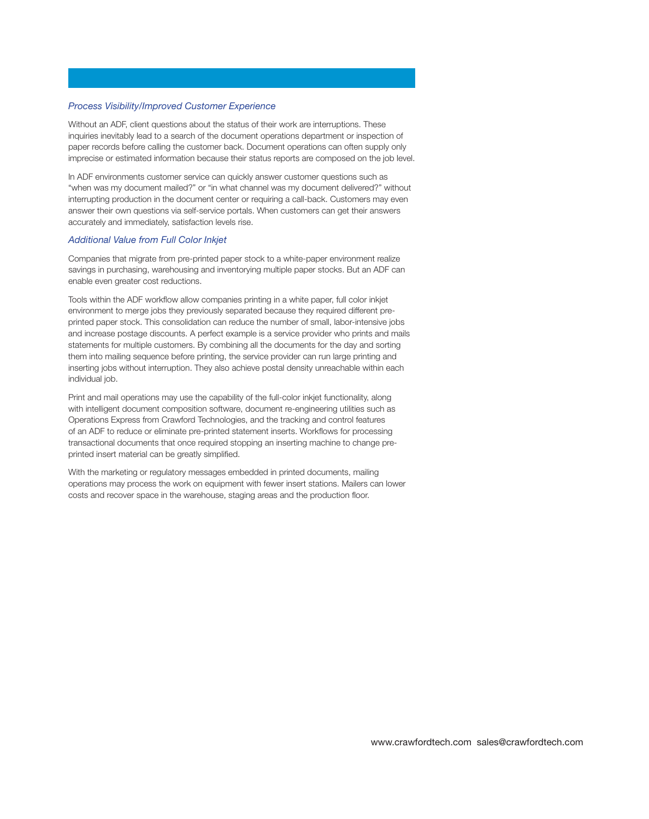#### *Process Visibility/Improved Customer Experience*

**Without an ADF, client questions about the status of their work are interruptions. These inquiries inevitably lead to a search of the document operations department or inspection of paper records before calling the customer back. Document operations can often supply only imprecise or estimated information because their status reports are composed on the job level.** 

**In ADF environments customer service can quickly answer customer questions such as "when was my document mailed?" or "in what channel was my document delivered?" without interrupting production in the document center or requiring a call-back. Customers may even answer their own questions via self-service portals. When customers can get their answers accurately and immediately, satisfaction levels rise.** 

#### *Additional Value from Full Color Inkjet*

**Companies that migrate from pre-printed paper stock to a white-paper environment realize savings in purchasing, warehousing and inventorying multiple paper stocks. But an ADF can enable even greater cost reductions.** 

**Tools within the ADF workfow allow companies printing in a white paper, full color inkjet environment to merge jobs they previously separated because they required different preprinted paper stock. This consolidation can reduce the number of small, labor-intensive jobs and increase postage discounts. A perfect example is a service provider who prints and mails statements for multiple customers. By combining all the documents for the day and sorting them into mailing sequence before printing, the service provider can run large printing and inserting jobs without interruption. They also achieve postal density unreachable within each individual job.** 

**Print and mail operations may use the capability of the full-color inkjet functionality, along with intelligent document composition software, document re-engineering utilities such as Operations Express from Crawford Technologies, and the tracking and control features of an ADF to reduce or eliminate pre-printed statement inserts. Workfows for processing transactional documents that once required stopping an inserting machine to change preprinted insert material can be greatly simplifed.** 

**With the marketing or regulatory messages embedded in printed documents, mailing operations may process the work on equipment with fewer insert stations. Mailers can lower costs and recover space in the warehouse, staging areas and the production foor.**